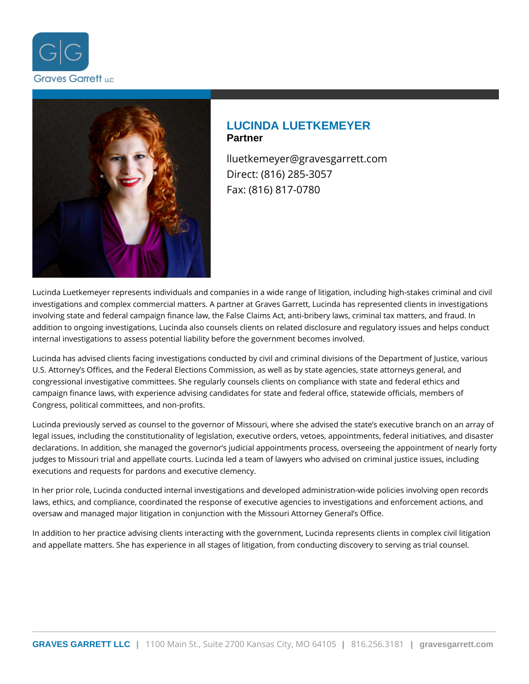



# **LUCINDA LUETKEMEYER Partner**

lluetkemeyer@gravesgarrett.com Direct: (816) 285-3057 Fax: (816) 817-0780

Lucinda Luetkemeyer represents individuals and companies in a wide range of litigation, including high-stakes criminal and civil investigations and complex commercial matters. A partner at Graves Garrett, Lucinda has represented clients in investigations involving state and federal campaign finance law, the False Claims Act, anti-bribery laws, criminal tax matters, and fraud. In addition to ongoing investigations, Lucinda also counsels clients on related disclosure and regulatory issues and helps conduct internal investigations to assess potential liability before the government becomes involved.

Lucinda has advised clients facing investigations conducted by civil and criminal divisions of the Department of Justice, various U.S. Attorney's Offices, and the Federal Elections Commission, as well as by state agencies, state attorneys general, and congressional investigative committees. She regularly counsels clients on compliance with state and federal ethics and campaign finance laws, with experience advising candidates for state and federal office, statewide officials, members of Congress, political committees, and non-profits.

Lucinda previously served as counsel to the governor of Missouri, where she advised the state's executive branch on an array of legal issues, including the constitutionality of legislation, executive orders, vetoes, appointments, federal initiatives, and disaster declarations. In addition, she managed the governor's judicial appointments process, overseeing the appointment of nearly forty judges to Missouri trial and appellate courts. Lucinda led a team of lawyers who advised on criminal justice issues, including executions and requests for pardons and executive clemency.

In her prior role, Lucinda conducted internal investigations and developed administration-wide policies involving open records laws, ethics, and compliance, coordinated the response of executive agencies to investigations and enforcement actions, and oversaw and managed major litigation in conjunction with the Missouri Attorney General's Office.

In addition to her practice advising clients interacting with the government, Lucinda represents clients in complex civil litigation and appellate matters. She has experience in all stages of litigation, from conducting discovery to serving as trial counsel.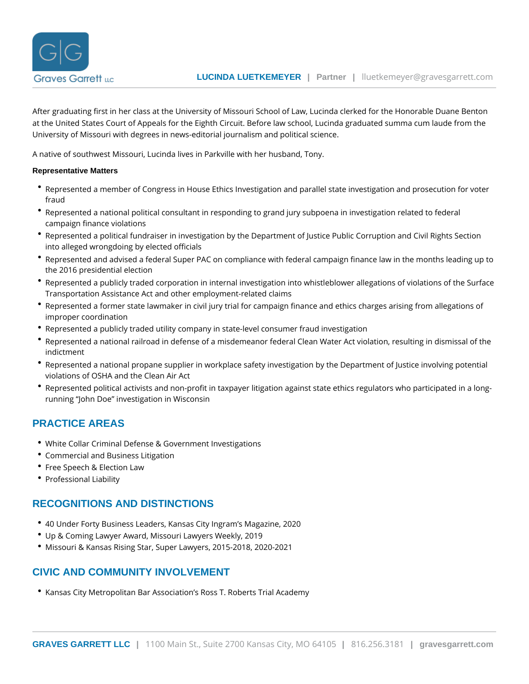After graduating first in her class at the University of Missouri School of Law, Lucinda cl at the United States Court of Appeals for the Eighth Circuit. Before law school, Lucinda g University of Missouri with degrees in news-editorial journalism and political science.

A native of southwest Missouri, Lucinda lives in Parkville with her husband, Tony.

#### Representative Matters

- $^\bullet$  Represented a member of Congress in House Ethics Investigation and parallel state inv fraud
- $^\bullet$  Represented a national political consultant in responding to grand jury subpoena in inv campaign finance violations
- $^\bullet$  Represented a political fundraiser in investigation by the Department of Justice Public into alleged wrongdoing by elected officials
- Represented and advised a federal Super PAC on compliance with federal campaign fin the 2016 presidential election
- Represented a publicly traded corporation in internal investigation into whistleblower a Transportation Assistance Act and other employment-related claims
- Represented a former state lawmaker in civil jury trial for campaign finance and ethics improper coordination
- Represented a publicly traded utility company in state-level consumer fraud investigati
- \* Represented a national railroad in defense of a misdemeanor federal Clean Water Act v indictment
- Represented a national propane supplier in workplace safety investigation by the Depa violations of OSHA and the Clean Air Act
- $^\bullet$  Represented political activists and non-profit in taxpayer litigation against state ethic running John Doe investigation in Wisconsin

### PRACTICE AREAS

- [White Collar Criminal Defense & Gover](https://www.gravesgarrett.com/practice-areas/white-collar-criminal-defense/)nment Investigations
- [Commercial and Busine](https://www.gravesgarrett.com/practice-areas/business-law-disputes/)ss Litigation
- [Free Speech & Ele](https://www.gravesgarrett.com/practice-areas/free-speech-law/)ction Law
- [Professional](https://www.gravesgarrett.com/practice-areas/professional-liability/) Liability

### RECOGNITIONS AND DISTINCTIONS

- 40 Under Forty Business Leaders, Kansas City Ingram s Magazine, 2020
- Up & Coming Lawyer Award, Missouri Lawyers Weekly, 2019
- Missouri & Kansas Rising Star, Super Lawyers, 2015-2018, 2020-2021

### CIVIC AND COMMUNITY INVOLVEMENT

Kansas City Metropolitan Bar Association s Ross T. Roberts Trial Academy